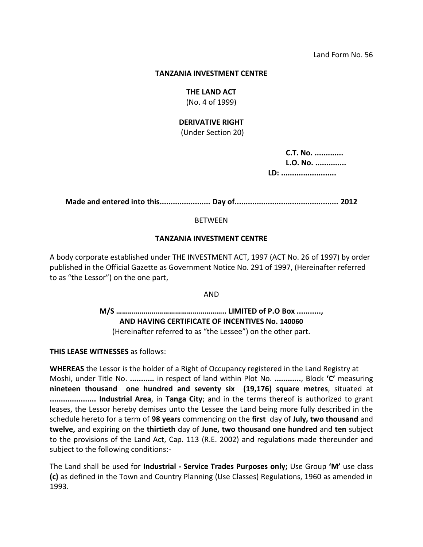#### **TANZANIA INVESTMENT CENTRE**

#### **THE LAND ACT**

(No. 4 of 1999)

### **DERIVATIVE RIGHT**

(Under Section 20)

 **C.T. No. ............. L.O. No. .............. LD: .........................**

**Made and entered into this....................... Day of............................................... 2012**

### BETWEEN

### **TANZANIA INVESTMENT CENTRE**

A body corporate established under THE INVESTMENT ACT, 1997 (ACT No. 26 of 1997) by order published in the Official Gazette as Government Notice No. 291 of 1997, (Hereinafter referred to as "the Lessor") on the one part,

AND

**M/S ……………………………………………….. LIMITED of P.O Box ..........., AND HAVING CERTIFICATE OF INCENTIVES No. 140060** (Hereinafter referred to as "the Lessee") on the other part.

**THIS LEASE WITNESSES** as follows:

**WHEREAS** the Lessor is the holder of a Right of Occupancy registered in the Land Registry at Moshi, under Title No. **...........** in respect of land within Plot No. **............**, Block **'C'** measuring **nineteen thousand one hundred and seventy six (19,176) square metres**, situated at **..................... Industrial Area**, in **Tanga City**; and in the terms thereof is authorized to grant leases, the Lessor hereby demises unto the Lessee the Land being more fully described in the schedule hereto for a term of **98 years** commencing on the **first** day of **July, two thousand** and **twelve,** and expiring on the **thirtieth** day of **June, two thousand one hundred** and **ten** subject to the provisions of the Land Act, Cap. 113 (R.E. 2002) and regulations made thereunder and subject to the following conditions:-

The Land shall be used for **Industrial - Service Trades Purposes only;** Use Group **'M'** use class **(c)** as defined in the Town and Country Planning (Use Classes) Regulations, 1960 as amended in 1993.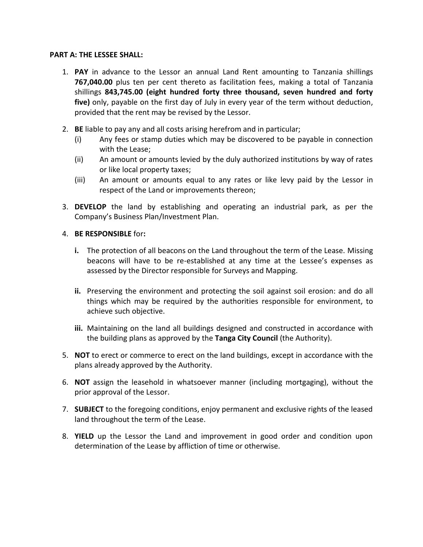### **PART A: THE LESSEE SHALL:**

- 1. **PAY** in advance to the Lessor an annual Land Rent amounting to Tanzania shillings **767,040.00** plus ten per cent thereto as facilitation fees, making a total of Tanzania shillings **843,745.00 (eight hundred forty three thousand, seven hundred and forty five)** only, payable on the first day of July in every year of the term without deduction, provided that the rent may be revised by the Lessor.
- 2. **BE** liable to pay any and all costs arising herefrom and in particular;
	- (i) Any fees or stamp duties which may be discovered to be payable in connection with the Lease;
	- (ii) An amount or amounts levied by the duly authorized institutions by way of rates or like local property taxes;
	- (iii) An amount or amounts equal to any rates or like levy paid by the Lessor in respect of the Land or improvements thereon;
- 3. **DEVELOP** the land by establishing and operating an industrial park, as per the Company's Business Plan/Investment Plan.

# 4. **BE RESPONSIBLE** for**:**

- **i.** The protection of all beacons on the Land throughout the term of the Lease. Missing beacons will have to be re-established at any time at the Lessee's expenses as assessed by the Director responsible for Surveys and Mapping.
- **ii.** Preserving the environment and protecting the soil against soil erosion: and do all things which may be required by the authorities responsible for environment, to achieve such objective.
- **iii.** Maintaining on the land all buildings designed and constructed in accordance with the building plans as approved by the **Tanga City Council** (the Authority).
- 5. **NOT** to erect or commerce to erect on the land buildings, except in accordance with the plans already approved by the Authority.
- 6. **NOT** assign the leasehold in whatsoever manner (including mortgaging), without the prior approval of the Lessor.
- 7. **SUBJECT** to the foregoing conditions, enjoy permanent and exclusive rights of the leased land throughout the term of the Lease.
- 8. **YIELD** up the Lessor the Land and improvement in good order and condition upon determination of the Lease by affliction of time or otherwise.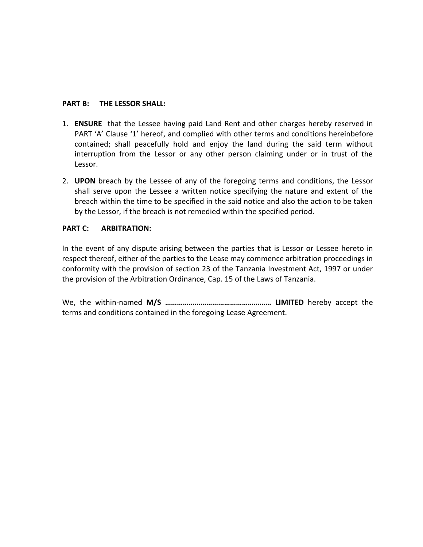### **PART B: THE LESSOR SHALL:**

- 1. **ENSURE** that the Lessee having paid Land Rent and other charges hereby reserved in PART 'A' Clause '1' hereof, and complied with other terms and conditions hereinbefore contained; shall peacefully hold and enjoy the land during the said term without interruption from the Lessor or any other person claiming under or in trust of the Lessor.
- 2. **UPON** breach by the Lessee of any of the foregoing terms and conditions, the Lessor shall serve upon the Lessee a written notice specifying the nature and extent of the breach within the time to be specified in the said notice and also the action to be taken by the Lessor, if the breach is not remedied within the specified period.

# **PART C: ARBITRATION:**

In the event of any dispute arising between the parties that is Lessor or Lessee hereto in respect thereof, either of the parties to the Lease may commence arbitration proceedings in conformity with the provision of section 23 of the Tanzania Investment Act, 1997 or under the provision of the Arbitration Ordinance, Cap. 15 of the Laws of Tanzania.

We, the within-named **M/S ……………………………………………… LIMITED** hereby accept the terms and conditions contained in the foregoing Lease Agreement.